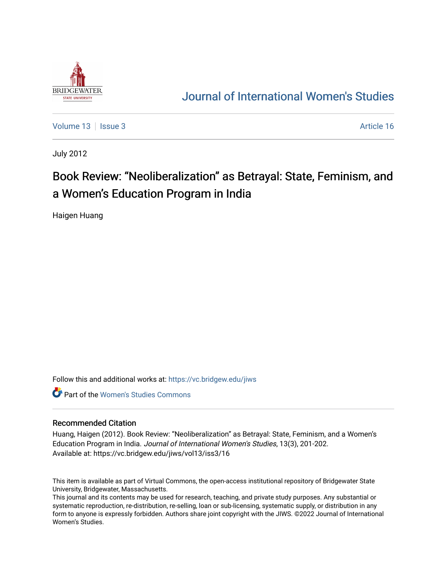

## [Journal of International Women's Studies](https://vc.bridgew.edu/jiws)

[Volume 13](https://vc.bridgew.edu/jiws/vol13) | [Issue 3](https://vc.bridgew.edu/jiws/vol13/iss3) Article 16

July 2012

## Book Review: "Neoliberalization" as Betrayal: State, Feminism, and a Women's Education Program in India

Haigen Huang

Follow this and additional works at: [https://vc.bridgew.edu/jiws](https://vc.bridgew.edu/jiws?utm_source=vc.bridgew.edu%2Fjiws%2Fvol13%2Fiss3%2F16&utm_medium=PDF&utm_campaign=PDFCoverPages)

**C** Part of the Women's Studies Commons

## Recommended Citation

Huang, Haigen (2012). Book Review: "Neoliberalization" as Betrayal: State, Feminism, and a Women's Education Program in India. Journal of International Women's Studies, 13(3), 201-202. Available at: https://vc.bridgew.edu/jiws/vol13/iss3/16

This item is available as part of Virtual Commons, the open-access institutional repository of Bridgewater State University, Bridgewater, Massachusetts.

This journal and its contents may be used for research, teaching, and private study purposes. Any substantial or systematic reproduction, re-distribution, re-selling, loan or sub-licensing, systematic supply, or distribution in any form to anyone is expressly forbidden. Authors share joint copyright with the JIWS. ©2022 Journal of International Women's Studies.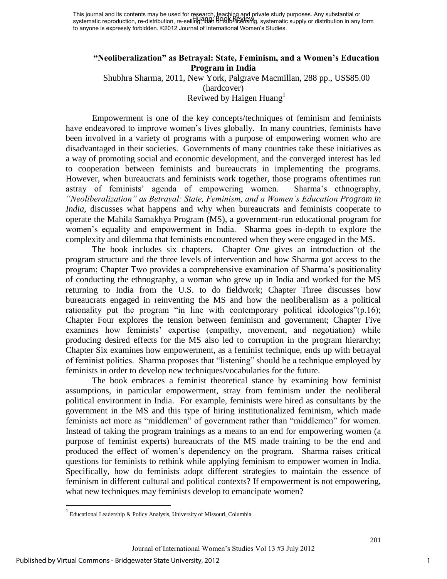This journal and its contents may be used for research, teaching and private study purposes. Any substantial or systematic reproduction, re-distribution, re-sellin<del>g,ባሀኔh</del> BPstIb-licensing, systematic supply or distribution in any form to anyone is expressly forbidden. ©2012 Journal of International Women's Studies. Huang: Book Review

## **"Neoliberalization" as Betrayal: State, Feminism, and a Women's Education Program in India**

Shubhra Sharma, 2011, New York, Palgrave Macmillan, 288 pp., US\$85.00 (hardcover) Reviwed by Haigen Huang $<sup>1</sup>$ </sup>

Empowerment is one of the key concepts/techniques of feminism and feminists have endeavored to improve women's lives globally. In many countries, feminists have been involved in a variety of programs with a purpose of empowering women who are disadvantaged in their societies. Governments of many countries take these initiatives as a way of promoting social and economic development, and the converged interest has led to cooperation between feminists and bureaucrats in implementing the programs. However, when bureaucrats and feminists work together, those programs oftentimes run astray of feminists' agenda of empowering women. Sharma's ethnography, *"Neoliberalization" as Betrayal: State, Feminism, and a Women's Education Program in India*, discusses what happens and why when bureaucrats and feminists cooperate to operate the Mahila Samakhya Program (MS), a government-run educational program for women's equality and empowerment in India. Sharma goes in-depth to explore the complexity and dilemma that feminists encountered when they were engaged in the MS.

The book includes six chapters. Chapter One gives an introduction of the program structure and the three levels of intervention and how Sharma got access to the program; Chapter Two provides a comprehensive examination of Sharma's positionality of conducting the ethnography, a woman who grew up in India and worked for the MS returning to India from the U.S. to do fieldwork; Chapter Three discusses how bureaucrats engaged in reinventing the MS and how the neoliberalism as a political rationality put the program "in line with contemporary political ideologies"(p.16); Chapter Four explores the tension between feminism and government; Chapter Five examines how feminists' expertise (empathy, movement, and negotiation) while producing desired effects for the MS also led to corruption in the program hierarchy; Chapter Six examines how empowerment, as a feminist technique, ends up with betrayal of feminist politics. Sharma proposes that "listening" should be a technique employed by feminists in order to develop new techniques/vocabularies for the future.

The book embraces a feminist theoretical stance by examining how feminist assumptions, in particular empowerment, stray from feminism under the neoliberal political environment in India. For example, feminists were hired as consultants by the government in the MS and this type of hiring institutionalized feminism, which made feminists act more as "middlemen" of government rather than "middlemen" for women. Instead of taking the program trainings as a means to an end for empowering women (a purpose of feminist experts) bureaucrats of the MS made training to be the end and produced the effect of women's dependency on the program. Sharma raises critical questions for feminists to rethink while applying feminism to empower women in India. Specifically, how do feminists adopt different strategies to maintain the essence of feminism in different cultural and political contexts? If empowerment is not empowering, what new techniques may feminists develop to emancipate women?

 $\overline{\phantom{a}}$ 

<sup>&</sup>lt;sup>1</sup> Educational Leadership & Policy Analysis, University of Missouri, Columbia